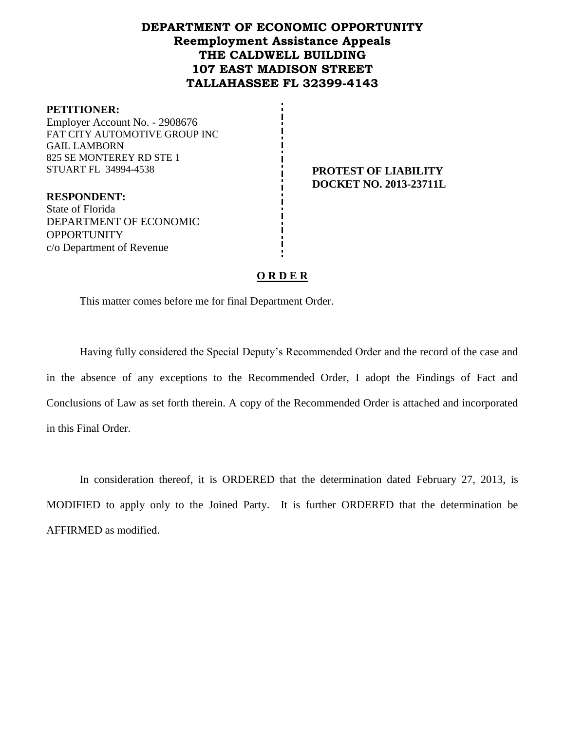## **DEPARTMENT OF ECONOMIC OPPORTUNITY Reemployment Assistance Appeals THE CALDWELL BUILDING 107 EAST MADISON STREET TALLAHASSEE FL 32399-4143**

### **PETITIONER:**

Employer Account No. - 2908676 FAT CITY AUTOMOTIVE GROUP INC GAIL LAMBORN 825 SE MONTEREY RD STE 1 STUART FL 34994-4538 **PROTEST OF LIABILITY**

**RESPONDENT:** State of Florida DEPARTMENT OF ECONOMIC OPPORTUNITY

c/o Department of Revenue

**DOCKET NO. 2013-23711L**

## **O R D E R**

This matter comes before me for final Department Order.

Having fully considered the Special Deputy's Recommended Order and the record of the case and in the absence of any exceptions to the Recommended Order, I adopt the Findings of Fact and Conclusions of Law as set forth therein. A copy of the Recommended Order is attached and incorporated in this Final Order.

In consideration thereof, it is ORDERED that the determination dated February 27, 2013, is MODIFIED to apply only to the Joined Party. It is further ORDERED that the determination be AFFIRMED as modified.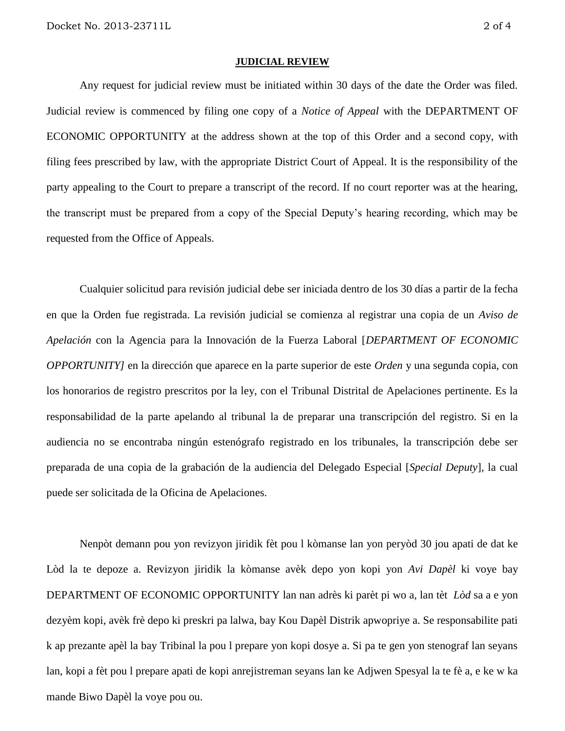#### **JUDICIAL REVIEW**

Any request for judicial review must be initiated within 30 days of the date the Order was filed. Judicial review is commenced by filing one copy of a *Notice of Appeal* with the DEPARTMENT OF ECONOMIC OPPORTUNITY at the address shown at the top of this Order and a second copy, with filing fees prescribed by law, with the appropriate District Court of Appeal. It is the responsibility of the party appealing to the Court to prepare a transcript of the record. If no court reporter was at the hearing, the transcript must be prepared from a copy of the Special Deputy's hearing recording, which may be requested from the Office of Appeals.

Cualquier solicitud para revisión judicial debe ser iniciada dentro de los 30 días a partir de la fecha en que la Orden fue registrada. La revisión judicial se comienza al registrar una copia de un *Aviso de Apelación* con la Agencia para la Innovación de la Fuerza Laboral [*DEPARTMENT OF ECONOMIC OPPORTUNITY]* en la dirección que aparece en la parte superior de este *Orden* y una segunda copia, con los honorarios de registro prescritos por la ley, con el Tribunal Distrital de Apelaciones pertinente. Es la responsabilidad de la parte apelando al tribunal la de preparar una transcripción del registro. Si en la audiencia no se encontraba ningún estenógrafo registrado en los tribunales, la transcripción debe ser preparada de una copia de la grabación de la audiencia del Delegado Especial [*Special Deputy*], la cual puede ser solicitada de la Oficina de Apelaciones.

Nenpòt demann pou yon revizyon jiridik fèt pou l kòmanse lan yon peryòd 30 jou apati de dat ke Lòd la te depoze a. Revizyon jiridik la kòmanse avèk depo yon kopi yon *Avi Dapèl* ki voye bay DEPARTMENT OF ECONOMIC OPPORTUNITY lan nan adrès ki parèt pi wo a, lan tèt *Lòd* sa a e yon dezyèm kopi, avèk frè depo ki preskri pa lalwa, bay Kou Dapèl Distrik apwopriye a. Se responsabilite pati k ap prezante apèl la bay Tribinal la pou l prepare yon kopi dosye a. Si pa te gen yon stenograf lan seyans lan, kopi a fèt pou l prepare apati de kopi anrejistreman seyans lan ke Adjwen Spesyal la te fè a, e ke w ka mande Biwo Dapèl la voye pou ou.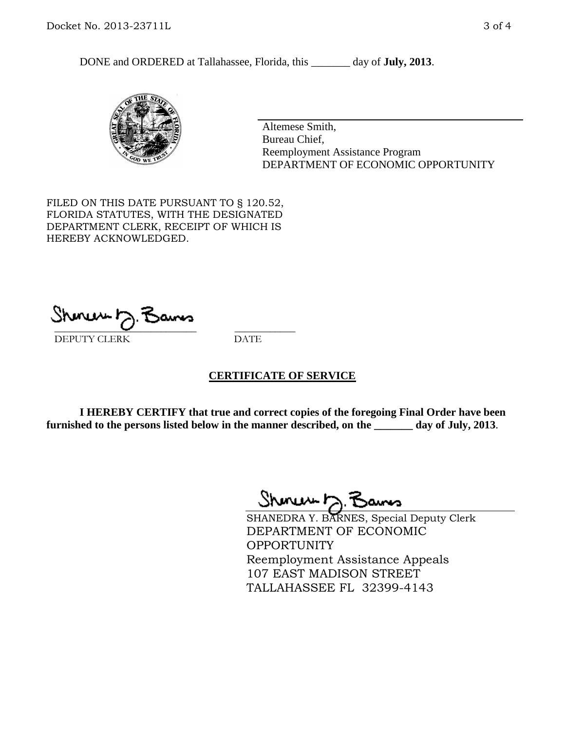DONE and ORDERED at Tallahassee, Florida, this \_\_\_\_\_\_\_ day of **July, 2013**.



Altemese Smith, Bureau Chief, Reemployment Assistance Program DEPARTMENT OF ECONOMIC OPPORTUNITY

FILED ON THIS DATE PURSUANT TO § 120.52, FLORIDA STATUTES, WITH THE DESIGNATED DEPARTMENT CLERK, RECEIPT OF WHICH IS HEREBY ACKNOWLEDGED.

 $\overline{\phantom{a}}$  ,  $\overline{\phantom{a}}$  ,  $\overline{\phantom{a}}$  ,  $\overline{\phantom{a}}$  ,  $\overline{\phantom{a}}$  ,  $\overline{\phantom{a}}$  ,  $\overline{\phantom{a}}$  ,  $\overline{\phantom{a}}$ DEPUTY CLERK DATE

## **CERTIFICATE OF SERVICE**

**I HEREBY CERTIFY that true and correct copies of the foregoing Final Order have been furnished to the persons listed below in the manner described, on the \_\_\_\_\_\_\_ day of July, 2013**.

Shinew D.F

SHANEDRA Y. BARNES, Special Deputy Clerk DEPARTMENT OF ECONOMIC **OPPORTUNITY** Reemployment Assistance Appeals 107 EAST MADISON STREET TALLAHASSEE FL 32399-4143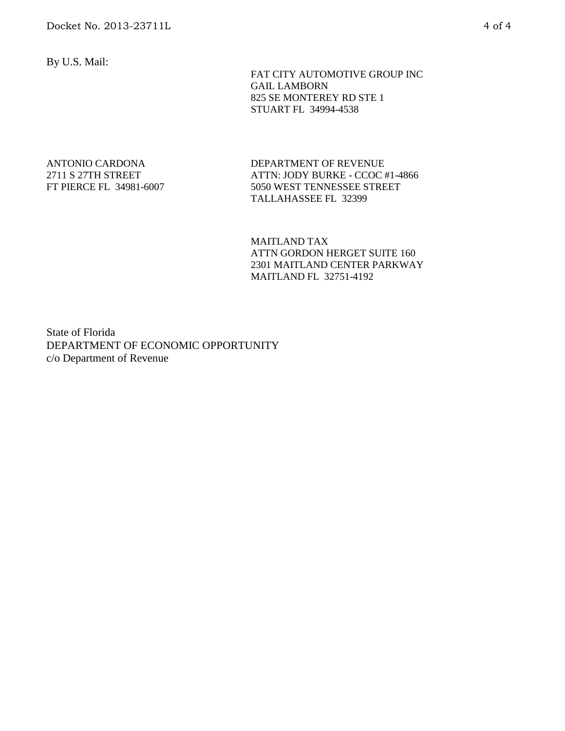By U.S. Mail:

 FAT CITY AUTOMOTIVE GROUP INC GAIL LAMBORN 825 SE MONTEREY RD STE 1 STUART FL 34994-4538

### ANTONIO CARDONA 2711 S 27TH STREET FT PIERCE FL 34981-6007

DEPARTMENT OF REVENUE ATTN: JODY BURKE - CCOC #1-4866 5050 WEST TENNESSEE STREET TALLAHASSEE FL 32399

MAITLAND TAX ATTN GORDON HERGET SUITE 160 2301 MAITLAND CENTER PARKWAY MAITLAND FL 32751-4192

State of Florida DEPARTMENT OF ECONOMIC OPPORTUNITY c/o Department of Revenue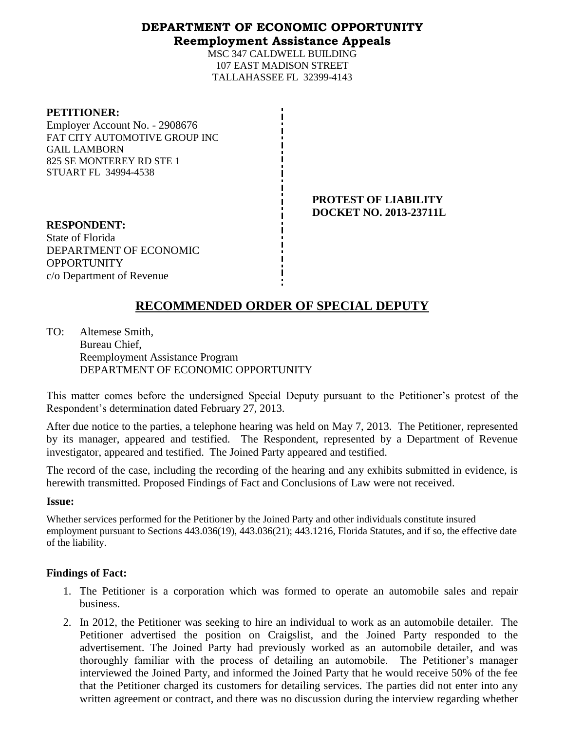## **DEPARTMENT OF ECONOMIC OPPORTUNITY Reemployment Assistance Appeals**

MSC 347 CALDWELL BUILDING 107 EAST MADISON STREET TALLAHASSEE FL 32399-4143

| <b>PETITIONER:</b> |  |
|--------------------|--|
|--------------------|--|

Employer Account No. - 2908676 FAT CITY AUTOMOTIVE GROUP INC GAIL LAMBORN 825 SE MONTEREY RD STE 1 STUART FL 34994-4538

> **PROTEST OF LIABILITY DOCKET NO. 2013-23711L**

**RESPONDENT:** State of Florida DEPARTMENT OF ECONOMIC **OPPORTUNITY** c/o Department of Revenue

# **RECOMMENDED ORDER OF SPECIAL DEPUTY**

TO: Altemese Smith, Bureau Chief, Reemployment Assistance Program DEPARTMENT OF ECONOMIC OPPORTUNITY

This matter comes before the undersigned Special Deputy pursuant to the Petitioner's protest of the Respondent's determination dated February 27, 2013.

After due notice to the parties, a telephone hearing was held on May 7, 2013. The Petitioner, represented by its manager, appeared and testified. The Respondent, represented by a Department of Revenue investigator, appeared and testified. The Joined Party appeared and testified.

The record of the case, including the recording of the hearing and any exhibits submitted in evidence, is herewith transmitted. Proposed Findings of Fact and Conclusions of Law were not received.

### **Issue:**

Whether services performed for the Petitioner by the Joined Party and other individuals constitute insured employment pursuant to Sections 443.036(19), 443.036(21); 443.1216, Florida Statutes, and if so, the effective date of the liability.

## **Findings of Fact:**

- 1. The Petitioner is a corporation which was formed to operate an automobile sales and repair business.
- 2. In 2012, the Petitioner was seeking to hire an individual to work as an automobile detailer. The Petitioner advertised the position on Craigslist, and the Joined Party responded to the advertisement. The Joined Party had previously worked as an automobile detailer, and was thoroughly familiar with the process of detailing an automobile. The Petitioner's manager interviewed the Joined Party, and informed the Joined Party that he would receive 50% of the fee that the Petitioner charged its customers for detailing services. The parties did not enter into any written agreement or contract, and there was no discussion during the interview regarding whether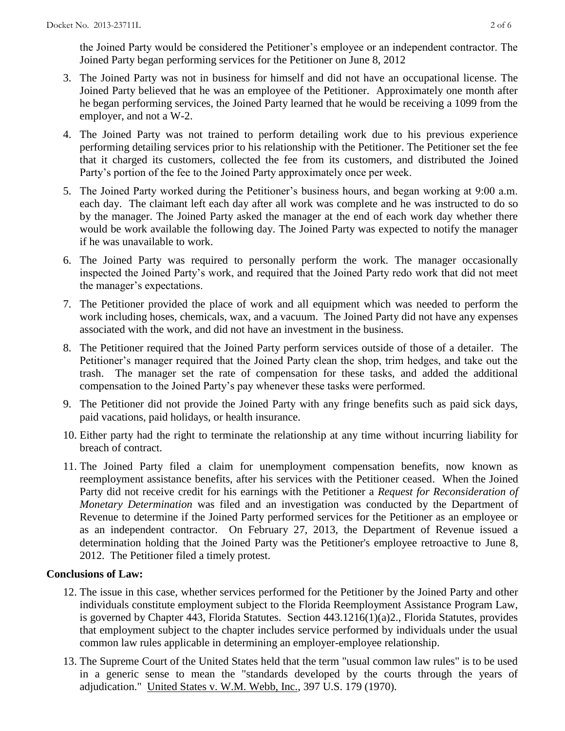the Joined Party would be considered the Petitioner's employee or an independent contractor. The Joined Party began performing services for the Petitioner on June 8, 2012

- 3. The Joined Party was not in business for himself and did not have an occupational license. The Joined Party believed that he was an employee of the Petitioner. Approximately one month after he began performing services, the Joined Party learned that he would be receiving a 1099 from the employer, and not a W-2.
- 4. The Joined Party was not trained to perform detailing work due to his previous experience performing detailing services prior to his relationship with the Petitioner. The Petitioner set the fee that it charged its customers, collected the fee from its customers, and distributed the Joined Party's portion of the fee to the Joined Party approximately once per week.
- 5. The Joined Party worked during the Petitioner's business hours, and began working at 9:00 a.m. each day. The claimant left each day after all work was complete and he was instructed to do so by the manager. The Joined Party asked the manager at the end of each work day whether there would be work available the following day. The Joined Party was expected to notify the manager if he was unavailable to work.
- 6. The Joined Party was required to personally perform the work. The manager occasionally inspected the Joined Party's work, and required that the Joined Party redo work that did not meet the manager's expectations.
- 7. The Petitioner provided the place of work and all equipment which was needed to perform the work including hoses, chemicals, wax, and a vacuum. The Joined Party did not have any expenses associated with the work, and did not have an investment in the business.
- 8. The Petitioner required that the Joined Party perform services outside of those of a detailer. The Petitioner's manager required that the Joined Party clean the shop, trim hedges, and take out the trash. The manager set the rate of compensation for these tasks, and added the additional compensation to the Joined Party's pay whenever these tasks were performed.
- 9. The Petitioner did not provide the Joined Party with any fringe benefits such as paid sick days, paid vacations, paid holidays, or health insurance.
- 10. Either party had the right to terminate the relationship at any time without incurring liability for breach of contract.
- 11. The Joined Party filed a claim for unemployment compensation benefits, now known as reemployment assistance benefits, after his services with the Petitioner ceased. When the Joined Party did not receive credit for his earnings with the Petitioner a *Request for Reconsideration of Monetary Determination* was filed and an investigation was conducted by the Department of Revenue to determine if the Joined Party performed services for the Petitioner as an employee or as an independent contractor. On February 27, 2013, the Department of Revenue issued a determination holding that the Joined Party was the Petitioner's employee retroactive to June 8, 2012. The Petitioner filed a timely protest.

## **Conclusions of Law:**

- 12. The issue in this case, whether services performed for the Petitioner by the Joined Party and other individuals constitute employment subject to the Florida Reemployment Assistance Program Law, is governed by Chapter 443, Florida Statutes. Section 443.1216(1)(a)2., Florida Statutes, provides that employment subject to the chapter includes service performed by individuals under the usual common law rules applicable in determining an employer-employee relationship.
- 13. The Supreme Court of the United States held that the term "usual common law rules" is to be used in a generic sense to mean the "standards developed by the courts through the years of adjudication." United States v. W.M. Webb, Inc., 397 U.S. 179 (1970).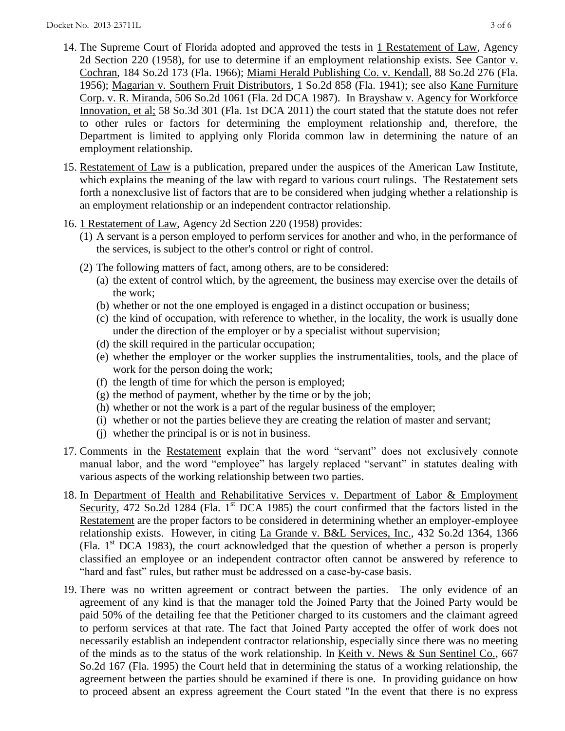- 14. The Supreme Court of Florida adopted and approved the tests in 1 Restatement of Law, Agency 2d Section 220 (1958), for use to determine if an employment relationship exists. See Cantor v. Cochran, 184 So.2d 173 (Fla. 1966); Miami Herald Publishing Co. v. Kendall, 88 So.2d 276 (Fla. 1956); Magarian v. Southern Fruit Distributors, 1 So.2d 858 (Fla. 1941); see also Kane Furniture Corp. v. R. Miranda, 506 So.2d 1061 (Fla. 2d DCA 1987). In Brayshaw v. Agency for Workforce Innovation, et al; 58 So.3d 301 (Fla. 1st DCA 2011) the court stated that the statute does not refer to other rules or factors for determining the employment relationship and, therefore, the Department is limited to applying only Florida common law in determining the nature of an employment relationship.
- 15. Restatement of Law is a publication, prepared under the auspices of the American Law Institute, which explains the meaning of the law with regard to various court rulings. The Restatement sets forth a nonexclusive list of factors that are to be considered when judging whether a relationship is an employment relationship or an independent contractor relationship.
- 16. 1 Restatement of Law, Agency 2d Section 220 (1958) provides:
	- (1) A servant is a person employed to perform services for another and who, in the performance of the services, is subject to the other's control or right of control.
	- (2) The following matters of fact, among others, are to be considered:
		- (a) the extent of control which, by the agreement, the business may exercise over the details of the work;
		- (b) whether or not the one employed is engaged in a distinct occupation or business;
		- (c) the kind of occupation, with reference to whether, in the locality, the work is usually done under the direction of the employer or by a specialist without supervision;
		- (d) the skill required in the particular occupation;
		- (e) whether the employer or the worker supplies the instrumentalities, tools, and the place of work for the person doing the work;
		- (f) the length of time for which the person is employed;
		- (g) the method of payment, whether by the time or by the job;
		- (h) whether or not the work is a part of the regular business of the employer;
		- (i) whether or not the parties believe they are creating the relation of master and servant;
		- (j) whether the principal is or is not in business.
- 17. Comments in the Restatement explain that the word "servant" does not exclusively connote manual labor, and the word "employee" has largely replaced "servant" in statutes dealing with various aspects of the working relationship between two parties.
- 18. In Department of Health and Rehabilitative Services v. Department of Labor & Employment Security, 472 So.2d 1284 (Fla. 1<sup>st</sup> DCA 1985) the court confirmed that the factors listed in the Restatement are the proper factors to be considered in determining whether an employer-employee relationship exists. However, in citing La Grande v. B&L Services, Inc., 432 So.2d 1364, 1366 (Fla.  $1<sup>st</sup> DCA$  1983), the court acknowledged that the question of whether a person is properly classified an employee or an independent contractor often cannot be answered by reference to "hard and fast" rules, but rather must be addressed on a case-by-case basis.
- 19. There was no written agreement or contract between the parties. The only evidence of an agreement of any kind is that the manager told the Joined Party that the Joined Party would be paid 50% of the detailing fee that the Petitioner charged to its customers and the claimant agreed to perform services at that rate. The fact that Joined Party accepted the offer of work does not necessarily establish an independent contractor relationship, especially since there was no meeting of the minds as to the status of the work relationship. In Keith v. News & Sun Sentinel Co., 667 So.2d 167 (Fla. 1995) the Court held that in determining the status of a working relationship, the agreement between the parties should be examined if there is one. In providing guidance on how to proceed absent an express agreement the Court stated "In the event that there is no express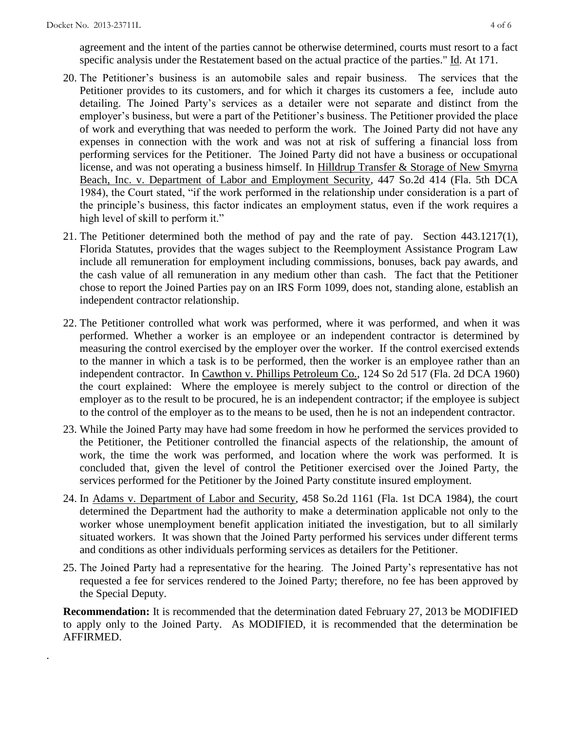.

agreement and the intent of the parties cannot be otherwise determined, courts must resort to a fact specific analysis under the Restatement based on the actual practice of the parties." Id. At 171.

- 20. The Petitioner's business is an automobile sales and repair business. The services that the Petitioner provides to its customers, and for which it charges its customers a fee, include auto detailing. The Joined Party's services as a detailer were not separate and distinct from the employer's business, but were a part of the Petitioner's business. The Petitioner provided the place of work and everything that was needed to perform the work. The Joined Party did not have any expenses in connection with the work and was not at risk of suffering a financial loss from performing services for the Petitioner. The Joined Party did not have a business or occupational license, and was not operating a business himself. In Hilldrup Transfer & Storage of New Smyrna Beach, Inc. v. Department of Labor and Employment Security, 447 So.2d 414 (Fla. 5th DCA 1984), the Court stated, "if the work performed in the relationship under consideration is a part of the principle's business, this factor indicates an employment status, even if the work requires a high level of skill to perform it."
- 21. The Petitioner determined both the method of pay and the rate of pay. Section 443.1217(1), Florida Statutes, provides that the wages subject to the Reemployment Assistance Program Law include all remuneration for employment including commissions, bonuses, back pay awards, and the cash value of all remuneration in any medium other than cash. The fact that the Petitioner chose to report the Joined Parties pay on an IRS Form 1099, does not, standing alone, establish an independent contractor relationship.
- 22. The Petitioner controlled what work was performed, where it was performed, and when it was performed. Whether a worker is an employee or an independent contractor is determined by measuring the control exercised by the employer over the worker. If the control exercised extends to the manner in which a task is to be performed, then the worker is an employee rather than an independent contractor. In Cawthon v. Phillips Petroleum Co., 124 So 2d 517 (Fla. 2d DCA 1960) the court explained: Where the employee is merely subject to the control or direction of the employer as to the result to be procured, he is an independent contractor; if the employee is subject to the control of the employer as to the means to be used, then he is not an independent contractor.
- 23. While the Joined Party may have had some freedom in how he performed the services provided to the Petitioner, the Petitioner controlled the financial aspects of the relationship, the amount of work, the time the work was performed, and location where the work was performed. It is concluded that, given the level of control the Petitioner exercised over the Joined Party, the services performed for the Petitioner by the Joined Party constitute insured employment.
- 24. In Adams v. Department of Labor and Security, 458 So.2d 1161 (Fla. 1st DCA 1984), the court determined the Department had the authority to make a determination applicable not only to the worker whose unemployment benefit application initiated the investigation, but to all similarly situated workers. It was shown that the Joined Party performed his services under different terms and conditions as other individuals performing services as detailers for the Petitioner.
- 25. The Joined Party had a representative for the hearing. The Joined Party's representative has not requested a fee for services rendered to the Joined Party; therefore, no fee has been approved by the Special Deputy.

**Recommendation:** It is recommended that the determination dated February 27, 2013 be MODIFIED to apply only to the Joined Party. As MODIFIED, it is recommended that the determination be AFFIRMED.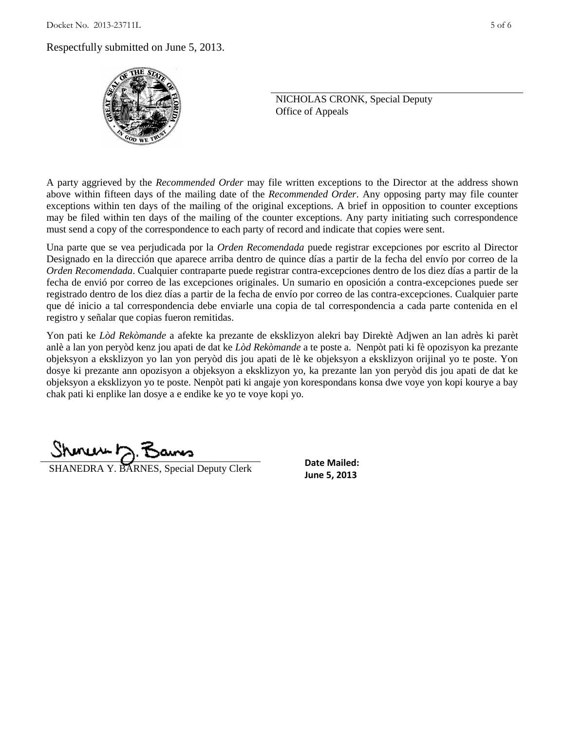$Docket$  No. 2013-23711L  $5$  of 6

Respectfully submitted on June 5, 2013.



NICHOLAS CRONK, Special Deputy Office of Appeals

A party aggrieved by the *Recommended Order* may file written exceptions to the Director at the address shown above within fifteen days of the mailing date of the *Recommended Order*. Any opposing party may file counter exceptions within ten days of the mailing of the original exceptions. A brief in opposition to counter exceptions may be filed within ten days of the mailing of the counter exceptions. Any party initiating such correspondence must send a copy of the correspondence to each party of record and indicate that copies were sent.

Una parte que se vea perjudicada por la *Orden Recomendada* puede registrar excepciones por escrito al Director Designado en la dirección que aparece arriba dentro de quince días a partir de la fecha del envío por correo de la *Orden Recomendada*. Cualquier contraparte puede registrar contra-excepciones dentro de los diez días a partir de la fecha de envió por correo de las excepciones originales. Un sumario en oposición a contra-excepciones puede ser registrado dentro de los diez días a partir de la fecha de envío por correo de las contra-excepciones. Cualquier parte que dé inicio a tal correspondencia debe enviarle una copia de tal correspondencia a cada parte contenida en el registro y señalar que copias fueron remitidas.

Yon pati ke *Lòd Rekòmande* a afekte ka prezante de eksklizyon alekri bay Direktè Adjwen an lan adrès ki parèt anlè a lan yon peryòd kenz jou apati de dat ke *Lòd Rekòmande* a te poste a. Nenpòt pati ki fè opozisyon ka prezante objeksyon a eksklizyon yo lan yon peryòd dis jou apati de lè ke objeksyon a eksklizyon orijinal yo te poste. Yon dosye ki prezante ann opozisyon a objeksyon a eksklizyon yo, ka prezante lan yon peryòd dis jou apati de dat ke objeksyon a eksklizyon yo te poste. Nenpòt pati ki angaje yon korespondans konsa dwe voye yon kopi kourye a bay chak pati ki enplike lan dosye a e endike ke yo te voye kopi yo.

**SHANEDRA Y. BARNES, Special Deputy Clerk June 5, 2013** 

**Date Mailed:**